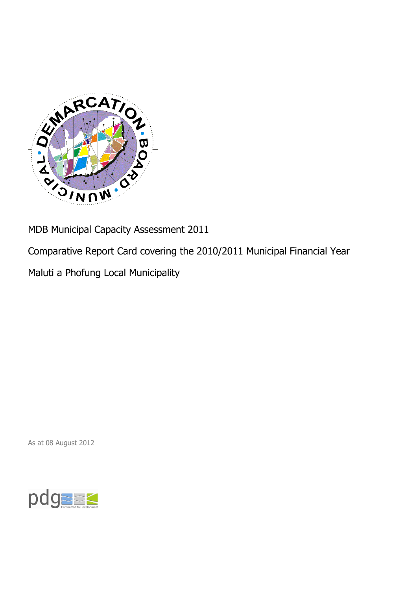

MDB Municipal Capacity Assessment 2011

Comparative Report Card covering the 2010/2011 Municipal Financial Year

Maluti a Phofung Local Municipality

As at 08 August 2012

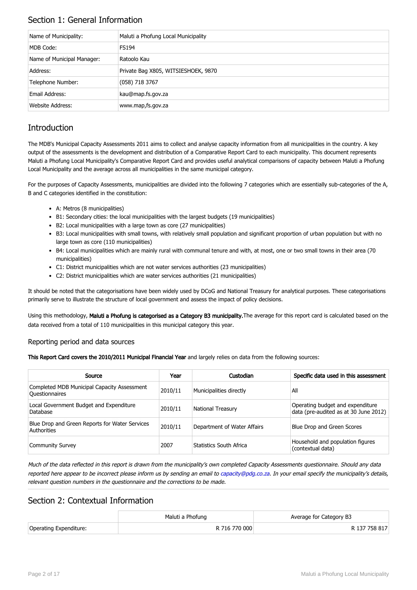## Section 1: General Information

| Name of Municipality:      | Maluti a Phofung Local Municipality |
|----------------------------|-------------------------------------|
| MDB Code:                  | <b>FS194</b>                        |
| Name of Municipal Manager: | Ratoolo Kau                         |
| Address:                   | Private Bag X805, WITSIESHOEK, 9870 |
| Telephone Number:          | $(058)$ 718 3767                    |
| Email Address:             | kau@map.fs.gov.za                   |
| <b>Website Address:</b>    | www.map,fs.gov.za                   |

## **Introduction**

The MDB's Municipal Capacity Assessments 2011 aims to collect and analyse capacity information from all municipalities in the country. A key output of the assessments is the development and distribution of a Comparative Report Card to each municipality. This document represents Maluti a Phofung Local Municipality's Comparative Report Card and provides useful analytical comparisons of capacity between Maluti a Phofung Local Municipality and the average across all municipalities in the same municipal category.

For the purposes of Capacity Assessments, municipalities are divided into the following 7 categories which are essentially sub-categories of the A, B and C categories identified in the constitution:

- A: Metros (8 municipalities)
- B1: Secondary cities: the local municipalities with the largest budgets (19 municipalities)
- B2: Local municipalities with a large town as core (27 municipalities)
- B3: Local municipalities with small towns, with relatively small population and significant proportion of urban population but with no large town as core (110 municipalities)
- B4: Local municipalities which are mainly rural with communal tenure and with, at most, one or two small towns in their area (70 municipalities)
- C1: District municipalities which are not water services authorities (23 municipalities)
- C2: District municipalities which are water services authorities (21 municipalities)

It should be noted that the categorisations have been widely used by DCoG and National Treasury for analytical purposes. These categorisations primarily serve to illustrate the structure of local government and assess the impact of policy decisions.

Using this methodology, Maluti a Phofung is categorised as a Category B3 municipality. The average for this report card is calculated based on the data received from a total of 110 municipalities in this municipal category this year.

#### Reporting period and data sources

This Report Card covers the 2010/2011 Municipal Financial Year and largely relies on data from the following sources:

| Source                                                               | Year    | Custodian                   | Specific data used in this assessment                                     |
|----------------------------------------------------------------------|---------|-----------------------------|---------------------------------------------------------------------------|
| Completed MDB Municipal Capacity Assessment<br><b>Ouestionnaires</b> | 2010/11 | Municipalities directly     | All                                                                       |
| Local Government Budget and Expenditure<br>Database                  | 2010/11 | <b>National Treasury</b>    | Operating budget and expenditure<br>data (pre-audited as at 30 June 2012) |
| Blue Drop and Green Reports for Water Services<br>Authorities        | 2010/11 | Department of Water Affairs | Blue Drop and Green Scores                                                |
| <b>Community Survey</b>                                              | 2007    | Statistics South Africa     | Household and population figures<br>(contextual data)                     |

Much of the data reflected in this report is drawn from the municipality's own completed Capacity Assessments questionnaire. Should any data reported here appear to be incorrect please inform us by sending an email to [capacity@pdg.co.za](mailto:capacity@pdg.co.za). In your email specify the municipality's details, relevant question numbers in the questionnaire and the corrections to be made.

### Section 2: Contextual Information

|                        | Maluti a Phofung | Average for Category B3 |
|------------------------|------------------|-------------------------|
| Operating Expenditure: | R 716 770 000    | R 137 758 817           |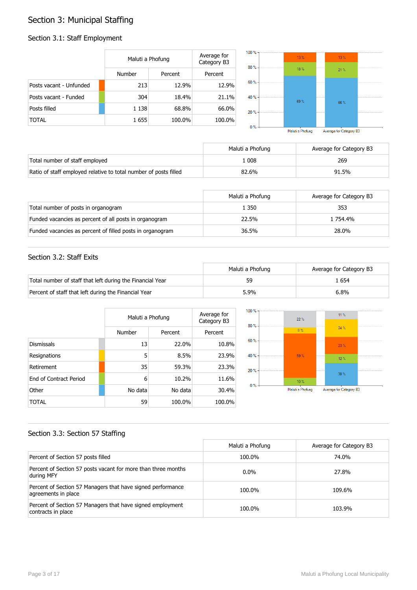## Section 3: Municipal Staffing

#### Section 3.1: Staff Employment

|                         | Maluti a Phofung |         | Average for<br>Category B3 | $100% -$<br>80% | $13\%$ |  |
|-------------------------|------------------|---------|----------------------------|-----------------|--------|--|
|                         | Number           | Percent | Percent                    |                 | 18%    |  |
| Posts vacant - Unfunded | 213              | 12.9%   | 12.9%                      | $60% -$         |        |  |
| Posts vacant - Funded   | 304              | 18.4%   | 21.1%                      | 40 % -          | 69%    |  |
| Posts filled            | 1 1 3 8          | 68.8%   | 66.0%                      | $20 \%$         |        |  |
| <b>TOTAL</b>            | 1655             | 100.0%  | 100.0%                     | 0.97            |        |  |



|                                                                  | Maluti a Phofung | Average for Category B3 |
|------------------------------------------------------------------|------------------|-------------------------|
| Total number of staff employed                                   | .008             | 269                     |
| Ratio of staff employed relative to total number of posts filled | 82.6%            | 91.5%                   |

|                                                           | Maluti a Phofung | Average for Category B3 |
|-----------------------------------------------------------|------------------|-------------------------|
| Total number of posts in organogram                       | 1 350            | 353                     |
| Funded vacancies as percent of all posts in organogram    | 22.5%            | 1 754.4%                |
| Funded vacancies as percent of filled posts in organogram | 36.5%            | 28.0%                   |

#### Section 3.2: Staff Exits

|                                                           | Maluti a Phofung | Average for Category B3 |
|-----------------------------------------------------------|------------------|-------------------------|
| Total number of staff that left during the Financial Year | 59               | . 654                   |
| Percent of staff that left during the Financial Year      | 5.9%             | 6.8%                    |

|                               |         | Maluti a Phofung |         |
|-------------------------------|---------|------------------|---------|
|                               | Number  | Percent          | Percent |
| <b>Dismissals</b>             | 13      | 22.0%            | 10.8%   |
| Resignations                  | 5       | 8.5%             | 23.9%   |
| Retirement                    | 35      | 59.3%            | 23.3%   |
| <b>Fnd of Contract Period</b> | 6       | 10.2%            | 11.6%   |
| Other                         | No data | No data          | 30.4%   |
| TOTAL                         | 59      | 100.0%           | 100.0%  |



#### Section 3.3: Section 57 Staffing

|                                                                                    | Maluti a Phofung | Average for Category B3 |
|------------------------------------------------------------------------------------|------------------|-------------------------|
| Percent of Section 57 posts filled                                                 | 100.0%           | 74.0%                   |
| Percent of Section 57 posts vacant for more than three months<br>during MFY        | $0.0\%$          | 27.8%                   |
| Percent of Section 57 Managers that have signed performance<br>agreements in place | 100.0%           | 109.6%                  |
| Percent of Section 57 Managers that have signed employment<br>contracts in place   | 100.0%           | 103.9%                  |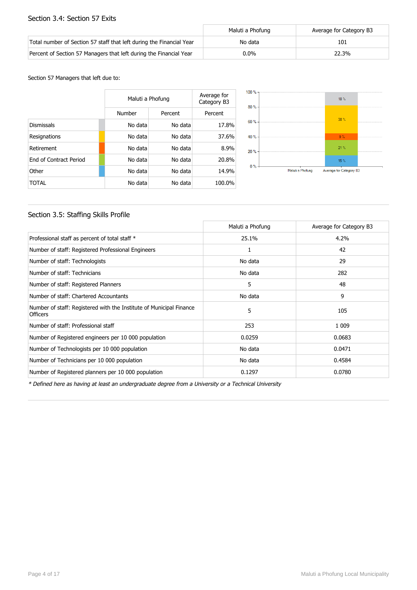#### Section 3.4: Section 57 Exits

|                                                                      | Maluti a Phofung | Average for Category B3 |
|----------------------------------------------------------------------|------------------|-------------------------|
| Total number of Section 57 staff that left during the Financial Year | No data          | 101                     |
| Percent of Section 57 Managers that left during the Financial Year   | $0.0\%$          | 22.3%                   |

#### Section 57 Managers that left due to:

|                        | Maluti a Phofung |         | Average for<br>Category B3 |
|------------------------|------------------|---------|----------------------------|
|                        | Number           | Percent | Percent                    |
| <b>Dismissals</b>      | No data          | No data | 17.8%                      |
| Resignations           | No data          | No data | 37.6%                      |
| Retirement             | No data          | No data | 8.9%                       |
| End of Contract Period | No data          | No data | 20.8%                      |
| Other                  | No data          | No data | 14.9%                      |
| TOTAL                  | No data          | No data | 100.0%                     |



#### Section 3.5: Staffing Skills Profile

|                                                                                        | Maluti a Phofung | Average for Category B3 |
|----------------------------------------------------------------------------------------|------------------|-------------------------|
| Professional staff as percent of total staff *                                         | 25.1%            | 4.2%                    |
| Number of staff: Registered Professional Engineers                                     | 1                | 42                      |
| Number of staff: Technologists                                                         | No data          | 29                      |
| Number of staff: Technicians                                                           | No data          | 282                     |
| Number of staff: Registered Planners                                                   | 5                | 48                      |
| Number of staff: Chartered Accountants                                                 | No data          | 9                       |
| Number of staff: Registered with the Institute of Municipal Finance<br><b>Officers</b> | 5                | 105                     |
| Number of staff: Professional staff                                                    | 253              | 1 0 0 9                 |
| Number of Registered engineers per 10 000 population                                   | 0.0259           | 0.0683                  |
| Number of Technologists per 10 000 population                                          | No data          | 0.0471                  |
| Number of Technicians per 10 000 population                                            | No data          | 0.4584                  |
| Number of Registered planners per 10 000 population                                    | 0.1297           | 0.0780                  |

\* Defined here as having at least an undergraduate degree from a University or a Technical University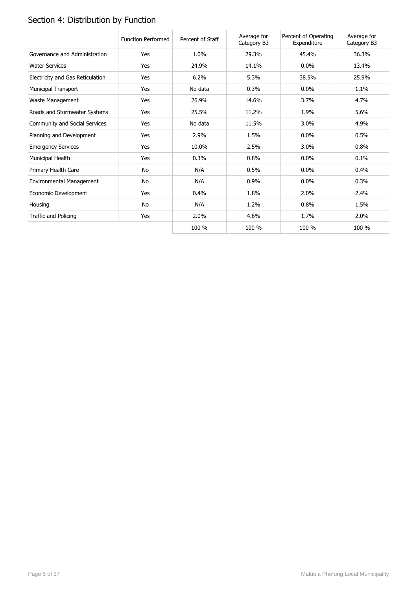# Section 4: Distribution by Function

|                                  | <b>Function Performed</b> | Percent of Staff | Average for<br>Category B3 | Percent of Operating<br>Expenditure | Average for<br>Category B3 |
|----------------------------------|---------------------------|------------------|----------------------------|-------------------------------------|----------------------------|
| Governance and Administration    | Yes                       | 1.0%             | 29.3%                      | 45.4%                               | 36.3%                      |
| <b>Water Services</b>            | Yes                       | 24.9%            | 14.1%                      | $0.0\%$                             | 13.4%                      |
| Electricity and Gas Reticulation | Yes                       | 6.2%             | 5.3%                       | 38.5%                               | 25.9%                      |
| Municipal Transport              | Yes                       | No data          | 0.3%                       | $0.0\%$                             | 1.1%                       |
| Waste Management                 | Yes                       | 26.9%            | 14.6%                      | 3.7%                                | 4.7%                       |
| Roads and Stormwater Systems     | Yes                       | 25.5%            | 11.2%                      | 1.9%                                | 5.6%                       |
| Community and Social Services    | Yes                       | No data          | 11.5%                      | 3.0%                                | 4.9%                       |
| Planning and Development         | Yes                       | 2.9%             | 1.5%                       | 0.0%                                | 0.5%                       |
| <b>Emergency Services</b>        | Yes                       | 10.0%            | 2.5%                       | 3.0%                                | 0.8%                       |
| Municipal Health                 | Yes                       | 0.3%             | 0.8%                       | $0.0\%$                             | 0.1%                       |
| Primary Health Care              | No                        | N/A              | 0.5%                       | $0.0\%$                             | 0.4%                       |
| Environmental Management         | No                        | N/A              | 0.9%                       | 0.0%                                | 0.3%                       |
| Economic Development             | Yes                       | 0.4%             | 1.8%                       | 2.0%                                | 2.4%                       |
| Housing                          | No                        | N/A              | 1.2%                       | 0.8%                                | 1.5%                       |
| Traffic and Policing             | Yes                       | 2.0%             | 4.6%                       | 1.7%                                | 2.0%                       |
|                                  |                           | 100 %            | 100 %                      | 100 %                               | 100 %                      |

Page 5 of 17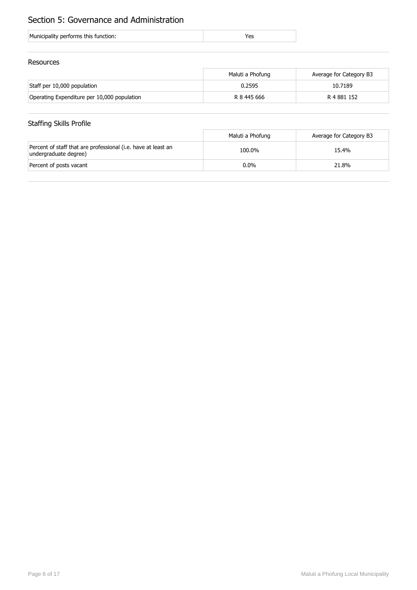## Section 5: Governance and Administration

#### Resources

|                                             | Maluti a Phofung | Average for Category B3 |
|---------------------------------------------|------------------|-------------------------|
| Staff per 10,000 population                 | 0.2595           | 10.7189                 |
| Operating Expenditure per 10,000 population | R 8 445 666      | R 4 881 152             |

## Staffing Skills Profile

|                                                                                        | Maluti a Phofung | Average for Category B3 |
|----------------------------------------------------------------------------------------|------------------|-------------------------|
| Percent of staff that are professional (i.e. have at least an<br>undergraduate degree) | 100.0%           | 15.4%                   |
| Percent of posts vacant                                                                | $0.0\%$          | 21.8%                   |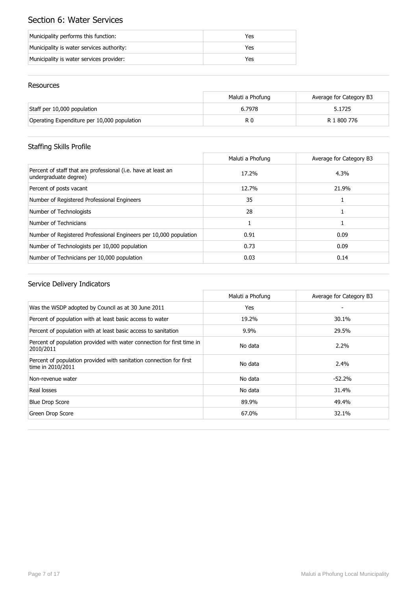## Section 6: Water Services

| Municipality performs this function:      | Yes |
|-------------------------------------------|-----|
| Municipality is water services authority: | Yes |
| Municipality is water services provider:  | Yes |

#### Resources

|                                             | Maluti a Phofung | Average for Category B3 |
|---------------------------------------------|------------------|-------------------------|
| Staff per 10,000 population                 | 6.7978           | 5.1725                  |
| Operating Expenditure per 10,000 population | R 0              | R 1 800 776             |

## Staffing Skills Profile

|                                                                                        | Maluti a Phofung | Average for Category B3 |
|----------------------------------------------------------------------------------------|------------------|-------------------------|
| Percent of staff that are professional (i.e. have at least an<br>undergraduate degree) | 17.2%            | 4.3%                    |
| Percent of posts vacant                                                                | 12.7%            | 21.9%                   |
| Number of Registered Professional Engineers                                            | 35               |                         |
| Number of Technologists                                                                | 28               |                         |
| Number of Technicians                                                                  |                  |                         |
| Number of Registered Professional Engineers per 10,000 population                      | 0.91             | 0.09                    |
| Number of Technologists per 10,000 population                                          | 0.73             | 0.09                    |
| Number of Technicians per 10,000 population                                            | 0.03             | 0.14                    |

|                                                                                          | Maluti a Phofung | Average for Category B3 |
|------------------------------------------------------------------------------------------|------------------|-------------------------|
| Was the WSDP adopted by Council as at 30 June 2011                                       | Yes              |                         |
| Percent of population with at least basic access to water                                | 19.2%            | 30.1%                   |
| Percent of population with at least basic access to sanitation                           | 9.9%             | 29.5%                   |
| Percent of population provided with water connection for first time in<br>2010/2011      | No data          | $2.2\%$                 |
| Percent of population provided with sanitation connection for first<br>time in 2010/2011 | No data          | 2.4%                    |
| Non-revenue water                                                                        | No data          | $-52.2%$                |
| Real losses                                                                              | No data          | 31.4%                   |
| <b>Blue Drop Score</b>                                                                   | 89.9%            | 49.4%                   |
| Green Drop Score                                                                         | 67.0%            | 32.1%                   |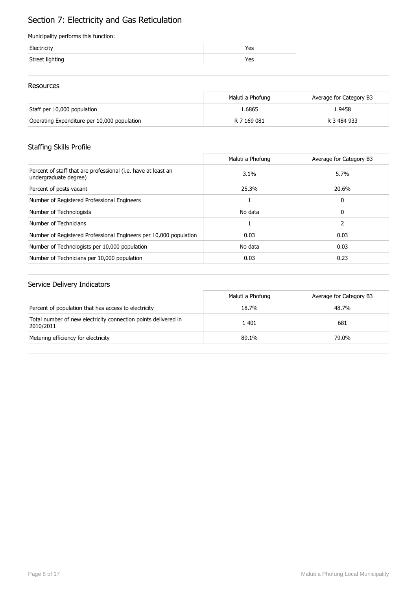## Section 7: Electricity and Gas Reticulation

#### Municipality performs this function:

| Electricity     | 'es |
|-----------------|-----|
| Street lighting | res |

#### Resources

|                                             | Maluti a Phofung | Average for Category B3 |
|---------------------------------------------|------------------|-------------------------|
| Staff per 10,000 population                 | 1.6865           | 1.9458                  |
| Operating Expenditure per 10,000 population | R 7 169 081      | R 3 484 933             |

## Staffing Skills Profile

|                                                                                        | Maluti a Phofung | Average for Category B3 |
|----------------------------------------------------------------------------------------|------------------|-------------------------|
| Percent of staff that are professional (i.e. have at least an<br>undergraduate degree) | 3.1%             | 5.7%                    |
| Percent of posts vacant                                                                | 25.3%            | 20.6%                   |
| Number of Registered Professional Engineers                                            |                  | 0                       |
| Number of Technologists                                                                | No data          | 0                       |
| Number of Technicians                                                                  |                  | 2                       |
| Number of Registered Professional Engineers per 10,000 population                      | 0.03             | 0.03                    |
| Number of Technologists per 10,000 population                                          | No data          | 0.03                    |
| Number of Technicians per 10,000 population                                            | 0.03             | 0.23                    |

|                                                                             | Maluti a Phofung | Average for Category B3 |
|-----------------------------------------------------------------------------|------------------|-------------------------|
| Percent of population that has access to electricity                        | 18.7%            | 48.7%                   |
| Total number of new electricity connection points delivered in<br>2010/2011 | 1401             | 681                     |
| Metering efficiency for electricity                                         | 89.1%            | 79.0%                   |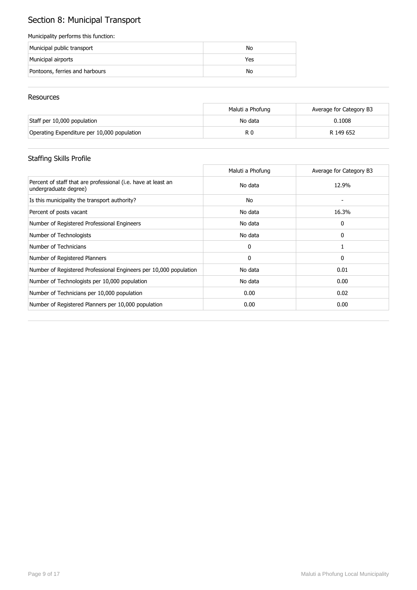# Section 8: Municipal Transport

#### Municipality performs this function:

| Municipal public transport     | No  |
|--------------------------------|-----|
| Municipal airports             | Yes |
| Pontoons, ferries and harbours | No  |

#### Resources

|                                             | Maluti a Phofung | Average for Category B3 |
|---------------------------------------------|------------------|-------------------------|
| Staff per 10,000 population                 | No data          | 0.1008                  |
| Operating Expenditure per 10,000 population | R 0              | R 149 652               |

## Staffing Skills Profile

|                                                                                        | Maluti a Phofung | Average for Category B3 |
|----------------------------------------------------------------------------------------|------------------|-------------------------|
| Percent of staff that are professional (i.e. have at least an<br>undergraduate degree) | No data          | 12.9%                   |
| Is this municipality the transport authority?                                          | No               |                         |
| Percent of posts vacant                                                                | No data          | 16.3%                   |
| Number of Registered Professional Engineers                                            | No data          | 0                       |
| Number of Technologists                                                                | No data          | 0                       |
| Number of Technicians                                                                  | 0                |                         |
| Number of Registered Planners                                                          | 0                | 0                       |
| Number of Registered Professional Engineers per 10,000 population                      | No data          | 0.01                    |
| Number of Technologists per 10,000 population                                          | No data          | 0.00                    |
| Number of Technicians per 10,000 population                                            | 0.00             | 0.02                    |
| Number of Registered Planners per 10,000 population                                    | 0.00             | 0.00                    |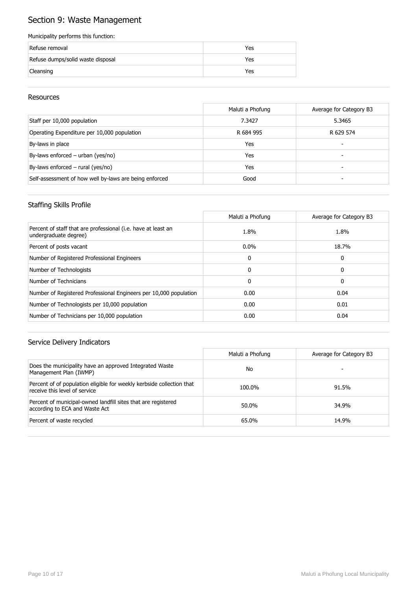## Section 9: Waste Management

#### Municipality performs this function:

| Refuse removal                    | Yes |
|-----------------------------------|-----|
| Refuse dumps/solid waste disposal | Yes |
| Cleansing                         | Yes |

#### Resources

|                                                        | Maluti a Phofung | Average for Category B3 |
|--------------------------------------------------------|------------------|-------------------------|
| Staff per 10,000 population                            | 7.3427           | 5.3465                  |
| Operating Expenditure per 10,000 population            | R 684 995        | R 629 574               |
| By-laws in place                                       | Yes              | -                       |
| By-laws enforced – urban (yes/no)                      | Yes              |                         |
| By-laws enforced $-$ rural (yes/no)                    | Yes              |                         |
| Self-assessment of how well by-laws are being enforced | Good             |                         |

#### Staffing Skills Profile

|                                                                                        | Maluti a Phofung | Average for Category B3 |
|----------------------------------------------------------------------------------------|------------------|-------------------------|
| Percent of staff that are professional (i.e. have at least an<br>undergraduate degree) | 1.8%             | 1.8%                    |
| Percent of posts vacant                                                                | $0.0\%$          | 18.7%                   |
| Number of Registered Professional Engineers                                            | $\mathbf{0}$     | 0                       |
| Number of Technologists                                                                | $\Omega$         | 0                       |
| Number of Technicians                                                                  | $\mathbf{0}$     | 0                       |
| Number of Registered Professional Engineers per 10,000 population                      | 0.00             | 0.04                    |
| Number of Technologists per 10,000 population                                          | 0.00             | 0.01                    |
| Number of Technicians per 10,000 population                                            | 0.00             | 0.04                    |

|                                                                                                        | Maluti a Phofung | Average for Category B3 |
|--------------------------------------------------------------------------------------------------------|------------------|-------------------------|
| Does the municipality have an approved Integrated Waste<br>Management Plan (IWMP)                      | No               |                         |
| Percent of of population eligible for weekly kerbside collection that<br>receive this level of service | 100.0%           | 91.5%                   |
| Percent of municipal-owned landfill sites that are registered<br>according to ECA and Waste Act        | 50.0%            | 34.9%                   |
| Percent of waste recycled                                                                              | 65.0%            | 14.9%                   |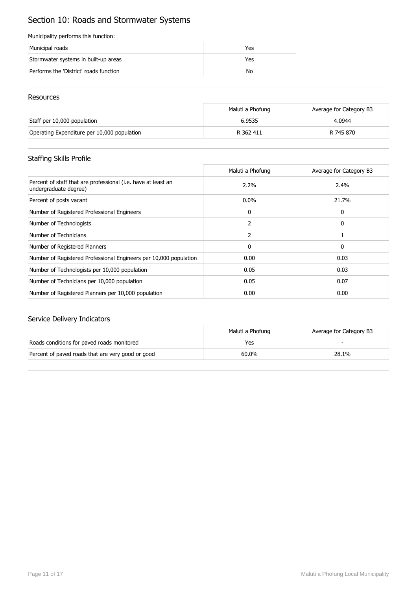## Section 10: Roads and Stormwater Systems

#### Municipality performs this function:

| Municipal roads                        | Yes |
|----------------------------------------|-----|
| Stormwater systems in built-up areas   | Yes |
| Performs the 'District' roads function | No  |

#### Resources

|                                             | Maluti a Phofung | Average for Category B3 |
|---------------------------------------------|------------------|-------------------------|
| Staff per 10,000 population                 | 6.9535           | 4.0944                  |
| Operating Expenditure per 10,000 population | R 362 411        | R 745 870               |

#### Staffing Skills Profile

|                                                                                        | Maluti a Phofung | Average for Category B3 |
|----------------------------------------------------------------------------------------|------------------|-------------------------|
| Percent of staff that are professional (i.e. have at least an<br>undergraduate degree) | 2.2%             | 2.4%                    |
| Percent of posts vacant                                                                | $0.0\%$          | 21.7%                   |
| Number of Registered Professional Engineers                                            | 0                | 0                       |
| Number of Technologists                                                                | 2                | 0                       |
| Number of Technicians                                                                  | 2                |                         |
| Number of Registered Planners                                                          | 0                | 0                       |
| Number of Registered Professional Engineers per 10,000 population                      | 0.00             | 0.03                    |
| Number of Technologists per 10,000 population                                          | 0.05             | 0.03                    |
| Number of Technicians per 10,000 population                                            | 0.05             | 0.07                    |
| Number of Registered Planners per 10,000 population                                    | 0.00             | 0.00                    |

|                                                   | Maluti a Phofung | Average for Category B3 |
|---------------------------------------------------|------------------|-------------------------|
| Roads conditions for paved roads monitored        | Yes              |                         |
| Percent of paved roads that are very good or good | 60.0%            | 28.1%                   |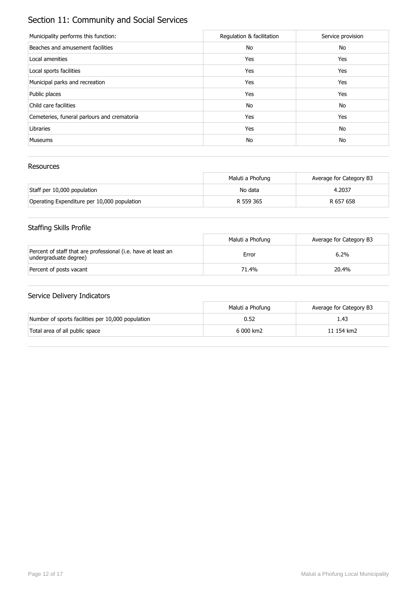## Section 11: Community and Social Services

| Municipality performs this function:        | Regulation & facilitation | Service provision |
|---------------------------------------------|---------------------------|-------------------|
| Beaches and amusement facilities            | No                        | No                |
| Local amenities                             | Yes                       | Yes               |
| Local sports facilities                     | Yes                       | Yes               |
| Municipal parks and recreation              | Yes                       | Yes               |
| Public places                               | Yes                       | Yes               |
| Child care facilities                       | No                        | No                |
| Cemeteries, funeral parlours and crematoria | Yes                       | Yes               |
| Libraries                                   | Yes                       | No                |
| <b>Museums</b>                              | No                        | No                |

#### Resources

|                                             | Maluti a Phofung | Average for Category B3 |
|---------------------------------------------|------------------|-------------------------|
| Staff per 10,000 population                 | No data          | 4.2037                  |
| Operating Expenditure per 10,000 population | R 559 365        | R 657 658               |

## Staffing Skills Profile

|                                                                                        | Maluti a Phofung | Average for Category B3 |
|----------------------------------------------------------------------------------------|------------------|-------------------------|
| Percent of staff that are professional (i.e. have at least an<br>undergraduate degree) | Error            | 6.2%                    |
| Percent of posts vacant                                                                | 71.4%            | 20.4%                   |

|                                                   | Maluti a Phofung | Average for Category B3 |
|---------------------------------------------------|------------------|-------------------------|
| Number of sports facilities per 10,000 population | 0.52             | 1.43                    |
| Total area of all public space                    | 6 000 km2        | 11 154 km2              |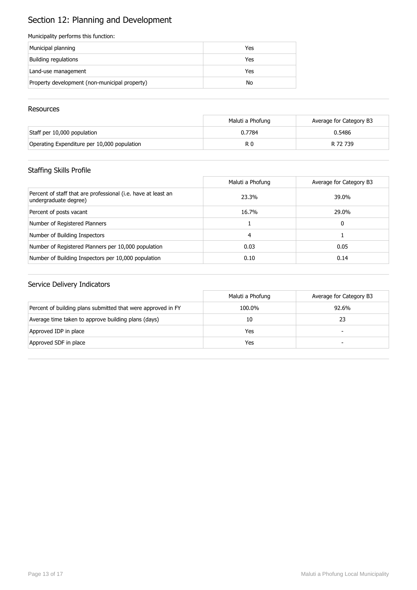# Section 12: Planning and Development

#### Municipality performs this function:

| Municipal planning                            | Yes |
|-----------------------------------------------|-----|
| Building regulations                          | Yes |
| Land-use management                           | Yes |
| Property development (non-municipal property) | No  |

#### **Resources**

|                                             | Maluti a Phofung | Average for Category B3 |
|---------------------------------------------|------------------|-------------------------|
| Staff per 10,000 population                 | 0.7784           | 0.5486                  |
| Operating Expenditure per 10,000 population | R 0              | R 72 739                |

## Staffing Skills Profile

|                                                                                        | Maluti a Phofung | Average for Category B3 |
|----------------------------------------------------------------------------------------|------------------|-------------------------|
| Percent of staff that are professional (i.e. have at least an<br>undergraduate degree) | 23.3%            | 39.0%                   |
| Percent of posts vacant                                                                | 16.7%            | 29.0%                   |
| Number of Registered Planners                                                          |                  | 0                       |
| Number of Building Inspectors                                                          | 4                |                         |
| Number of Registered Planners per 10,000 population                                    | 0.03             | 0.05                    |
| Number of Building Inspectors per 10,000 population                                    | 0.10             | 0.14                    |

|                                                              | Maluti a Phofung | Average for Category B3  |
|--------------------------------------------------------------|------------------|--------------------------|
| Percent of building plans submitted that were approved in FY | 100.0%           | 92.6%                    |
| Average time taken to approve building plans (days)          | 10               | 23                       |
| Approved IDP in place                                        | Yes              | $\overline{\phantom{0}}$ |
| Approved SDF in place                                        | Yes              | -                        |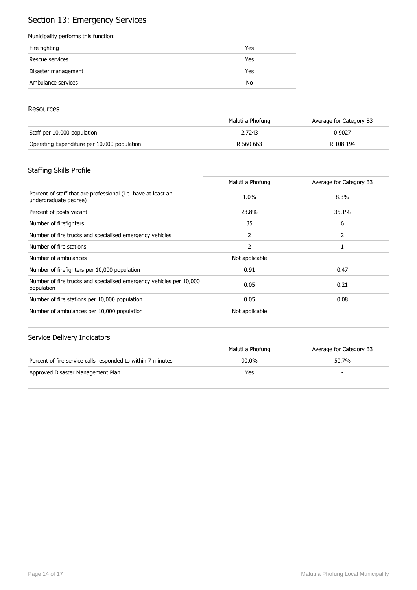## Section 13: Emergency Services

#### Municipality performs this function:

| Fire fighting       | Yes |
|---------------------|-----|
| Rescue services     | Yes |
| Disaster management | Yes |
| Ambulance services  | No  |

#### **Resources**

|                                             | Maluti a Phofung | Average for Category B3 |
|---------------------------------------------|------------------|-------------------------|
| Staff per 10,000 population                 | 2.7243           | 0.9027                  |
| Operating Expenditure per 10,000 population | R 560 663        | R 108 194               |

## Staffing Skills Profile

|                                                                                        | Maluti a Phofung | Average for Category B3 |
|----------------------------------------------------------------------------------------|------------------|-------------------------|
| Percent of staff that are professional (i.e. have at least an<br>undergraduate degree) | 1.0%             | 8.3%                    |
| Percent of posts vacant                                                                | 23.8%            | 35.1%                   |
| Number of firefighters                                                                 | 35               | 6                       |
| Number of fire trucks and specialised emergency vehicles                               | 2                | 2                       |
| Number of fire stations                                                                | 2                |                         |
| Number of ambulances                                                                   | Not applicable   |                         |
| Number of firefighters per 10,000 population                                           | 0.91             | 0.47                    |
| Number of fire trucks and specialised emergency vehicles per 10,000<br>population      | 0.05             | 0.21                    |
| Number of fire stations per 10,000 population                                          | 0.05             | 0.08                    |
| Number of ambulances per 10,000 population                                             | Not applicable   |                         |

|                                                             | Maluti a Phofung | Average for Category B3 |
|-------------------------------------------------------------|------------------|-------------------------|
| Percent of fire service calls responded to within 7 minutes | $90.0\%$         | 50.7%                   |
| Approved Disaster Management Plan                           | Yes              |                         |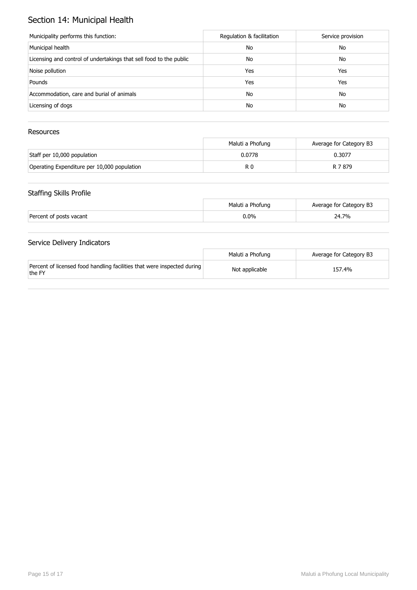## Section 14: Municipal Health

| Municipality performs this function:                               | Regulation & facilitation | Service provision |
|--------------------------------------------------------------------|---------------------------|-------------------|
| Municipal health                                                   | No                        | No                |
| Licensing and control of undertakings that sell food to the public | No                        | No                |
| Noise pollution                                                    | Yes                       | Yes               |
| Pounds                                                             | Yes                       | Yes               |
| Accommodation, care and burial of animals                          | No                        | No                |
| Licensing of dogs                                                  | No                        | No                |

#### Resources

|                                             | Maluti a Phofung | Average for Category B3 |
|---------------------------------------------|------------------|-------------------------|
| Staff per 10,000 population                 | 0.0778           | 0.3077                  |
| Operating Expenditure per 10,000 population | R 0              | R 7 879                 |

#### Staffing Skills Profile

|                         | Maluti a Phofung | Average for Category B3 |
|-------------------------|------------------|-------------------------|
| Percent of posts vacant | $0.0\%$          | 24.7%                   |

|                                                                                   | Maluti a Phofung | Average for Category B3 |
|-----------------------------------------------------------------------------------|------------------|-------------------------|
| Percent of licensed food handling facilities that were inspected during<br>the FY | Not applicable   | 157.4%                  |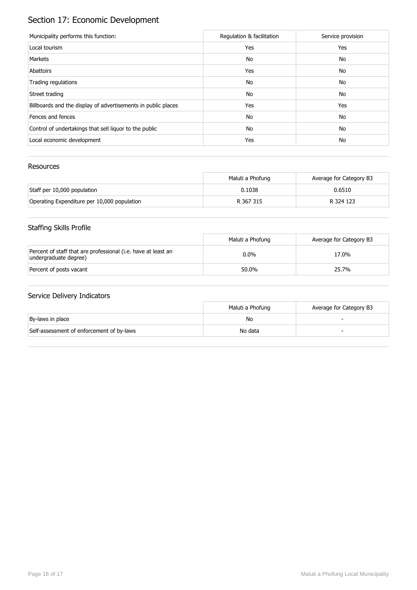# Section 17: Economic Development

| Municipality performs this function:                          | Regulation & facilitation | Service provision |
|---------------------------------------------------------------|---------------------------|-------------------|
| Local tourism                                                 | Yes                       | Yes               |
| Markets                                                       | No                        | No                |
| Abattoirs                                                     | Yes                       | No                |
| Trading regulations                                           | No                        | No                |
| Street trading                                                | No                        | No                |
| Billboards and the display of advertisements in public places | Yes                       | Yes               |
| Fences and fences                                             | No                        | No                |
| Control of undertakings that sell liquor to the public        | No                        | No                |
| Local economic development                                    | Yes                       | No                |

#### Resources

|                                             | Maluti a Phofung | Average for Category B3 |
|---------------------------------------------|------------------|-------------------------|
| Staff per 10,000 population                 | 0.1038           | 0.6510                  |
| Operating Expenditure per 10,000 population | R 367 315        | R 324 123               |

## Staffing Skills Profile

|                                                                                        | Maluti a Phofung | Average for Category B3 |
|----------------------------------------------------------------------------------------|------------------|-------------------------|
| Percent of staff that are professional (i.e. have at least an<br>undergraduate degree) | $0.0\%$          | 17.0%                   |
| Percent of posts vacant                                                                | 50.0%            | 25.7%                   |

|                                           | Maluti a Phofung | Average for Category B3 |
|-------------------------------------------|------------------|-------------------------|
| By-laws in place                          | No               |                         |
| Self-assessment of enforcement of by-laws | No data          |                         |